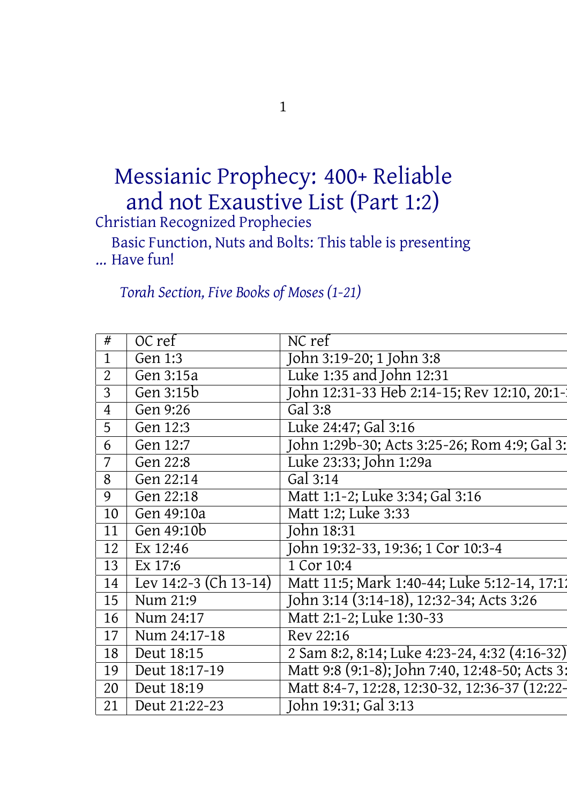## Messianic Prophecy: 400+ Reliable and not Exaustive List (Part 1:2)

Christian Recognized Prophecies

Basic Function, Nuts and Bolts: Thistable is presenting ... Have fun!

*Torah Section, Five Books of Moses (1-21)*

| $\sqrt{OCref}$<br>Gen $1:3$<br>Gen $3:15a$ | NC ref<br>John 3:19-20; 1 John 3:8                                   |
|--------------------------------------------|----------------------------------------------------------------------|
|                                            |                                                                      |
|                                            |                                                                      |
|                                            | Luke 1:35 and John 12:31                                             |
| Gen $3:15b$                                | John 12:31-33 Heb 2:14-15; Rev 12:10, 20:1-                          |
| Gen $9:26$                                 | Gal $3:8$                                                            |
| Gen 12:3                                   | Luke 24:47; Gal 3:16                                                 |
| Gen $12:7$                                 | John 1:29b-30; Acts 3:25-26; Rom 4:9; Gal 3:                         |
| Gen $22:8$                                 | Luke 23:33; John 1:29a                                               |
|                                            |                                                                      |
| Gen 22:14                                  | Gal $3:14$                                                           |
| Gen $22:18$                                | Matt 1:1-2; Luke 3:34; Gal 3:16                                      |
| $\sqrt{6en49:10a}$                         | Matt 1:2; Luke 3:33                                                  |
| Gen 49:10b                                 | John 18:31                                                           |
| $\overline{)$ Ex 12:46                     | John 19:32-33, 19:36; 1 Cor 10:3-4                                   |
| $\vert$ Ex 17:6                            | 1 Cor 10:4                                                           |
|                                            |                                                                      |
|                                            | 4 Lev 14:2-3 (Ch 13-14)   Matt 11:5; Mark 1:40-44; Luke 5:12-14, 17: |
| Num 21:9                                   | John 3:14 (3:14-18), 12:32-34; Acts 3:26                             |
| $5 \mid$ Num 24:17                         | Matt 2:1-2; Luke 1:30-33                                             |
| Num 24:17-18                               | Rev 22:16                                                            |
|                                            |                                                                      |
| 18   Deut 18:15                            | 2 Sam 8:2, 8:14; Luke 4:23-24, 4:32 (4:16-32)                        |
| $\log$ Deut 18:17-19                       | Matt 9:8 (9:1-8); John 7:40, 12:48-50; Acts 3:                       |
| $\cup$ Deut 18:19                          | Matt 8:4-7, 12:28, 12:30-32, 12:36-37 (12:22-                        |
| Deut 21:22-23                              | John 19:31; Gal 3:13                                                 |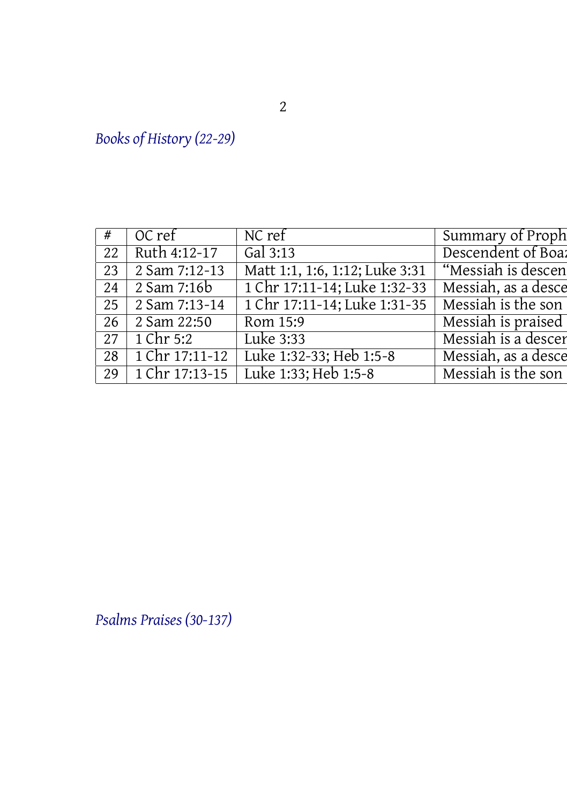*Books of History (22-29)*

| $#$ OC ref $N$ C ref     |                                                                        |                    |
|--------------------------|------------------------------------------------------------------------|--------------------|
| 22 Ruth 4:12-17 Gal 3:13 |                                                                        | Descendent of Boa: |
|                          | 23 2 Sam 7:12-13   Matt 1:1, 1:6, 1:12; Luke 3:31   "Messiah is descen |                    |
|                          | 24 2 Sam 7:16b 1 Chr 17:11-14; Luke 1:32-33 Messiah, as a desce        |                    |
|                          | 25 2 Sam 7:13-14 1 Chr 17:11-14; Luke 1:31-35 Messiah is the son       |                    |
| 26 2 Sam 22:50 Rom 15:9  | Messiah is praised                                                     |                    |
|                          | 27 1 Chr 5:2 Luke 3:33 Messiah is a descer                             |                    |
|                          | 28 1 Chr 17:11-12 Luke 1:32-33; Heb 1:5-8 Messiah, as a desce          |                    |
|                          | 29 1 Chr 17:13-15 Luke 1:33; Heb 1:5-8 Messiah is the son              |                    |
|                          |                                                                        |                    |

*Psalms Praises (30-137)*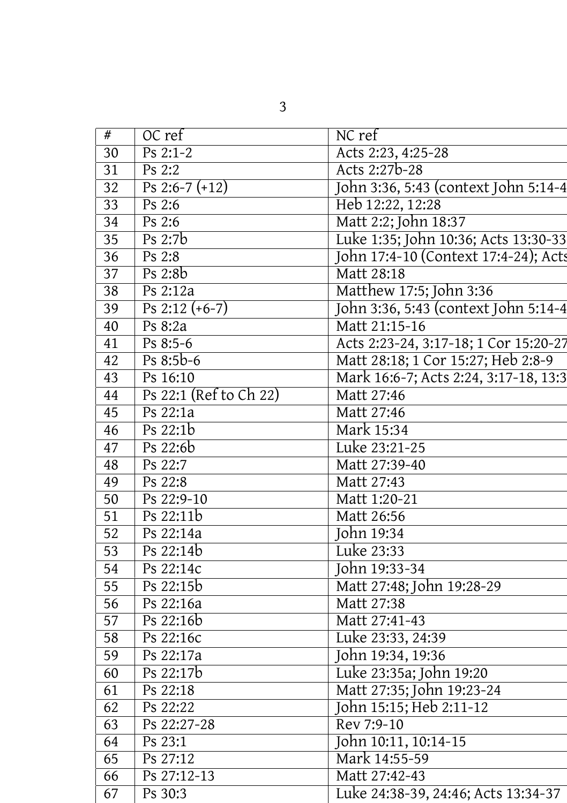| Acts 2:23, 4:25-28<br>Acts 2:27b-28<br>John 3:36, 5:43 (context John 5:14-4<br>Heb 12:22, 12:28<br>Matt 2:2; John 18:37<br>Luke 1:35; John 10:36; Acts 13:30-33<br>John 17:4-10 (Context 17:4-24); Acts<br>Matt 28:18<br>Matthew 17:5; John 3:36<br>John 3:36, 5:43 (context John 5:14-4<br>Matt 21:15-16<br>Acts 2:23-24, 3:17-18; 1 Cor 15:20-27<br>Matt 28:18; 1 Cor 15:27; Heb 2:8-9<br>Mark 16:6-7; Acts 2:24, 3:17-18, 13:3<br>Matt 27:46<br>Matt 27:46<br>Mark 15:34<br>Luke 23:21-25<br>Matt 27:39-40<br>Matt 27:43<br>Matt 1:20-21<br>Matt 26:56<br>Luke 23:33<br>John 19:33-34<br>Matt 27:48; John 19:28-29<br>Matt 27:38<br>Matt 27:41-43<br>Luke 23:33, 24:39<br>John 19:34, 19:36<br>Luke 23:35a; John 19:20<br>Matt 27:35; John 19:23-24<br>John 15:15; Heb 2:11-12<br>Rev 7:9-10<br>John 10:11, 10:14-15<br>Mark 14:55-59<br>Matt 27:42-43<br>Luke 24:38-39, 24:46; Acts 13:34-37 | NC ref |
|--------------------------------------------------------------------------------------------------------------------------------------------------------------------------------------------------------------------------------------------------------------------------------------------------------------------------------------------------------------------------------------------------------------------------------------------------------------------------------------------------------------------------------------------------------------------------------------------------------------------------------------------------------------------------------------------------------------------------------------------------------------------------------------------------------------------------------------------------------------------------------------------------|--------|
|                                                                                                                                                                                                                                                                                                                                                                                                                                                                                                                                                                                                                                                                                                                                                                                                                                                                                                  |        |
|                                                                                                                                                                                                                                                                                                                                                                                                                                                                                                                                                                                                                                                                                                                                                                                                                                                                                                  |        |
|                                                                                                                                                                                                                                                                                                                                                                                                                                                                                                                                                                                                                                                                                                                                                                                                                                                                                                  |        |
|                                                                                                                                                                                                                                                                                                                                                                                                                                                                                                                                                                                                                                                                                                                                                                                                                                                                                                  |        |
|                                                                                                                                                                                                                                                                                                                                                                                                                                                                                                                                                                                                                                                                                                                                                                                                                                                                                                  |        |
|                                                                                                                                                                                                                                                                                                                                                                                                                                                                                                                                                                                                                                                                                                                                                                                                                                                                                                  |        |
|                                                                                                                                                                                                                                                                                                                                                                                                                                                                                                                                                                                                                                                                                                                                                                                                                                                                                                  |        |
|                                                                                                                                                                                                                                                                                                                                                                                                                                                                                                                                                                                                                                                                                                                                                                                                                                                                                                  |        |
|                                                                                                                                                                                                                                                                                                                                                                                                                                                                                                                                                                                                                                                                                                                                                                                                                                                                                                  |        |
|                                                                                                                                                                                                                                                                                                                                                                                                                                                                                                                                                                                                                                                                                                                                                                                                                                                                                                  |        |
|                                                                                                                                                                                                                                                                                                                                                                                                                                                                                                                                                                                                                                                                                                                                                                                                                                                                                                  |        |
|                                                                                                                                                                                                                                                                                                                                                                                                                                                                                                                                                                                                                                                                                                                                                                                                                                                                                                  |        |
|                                                                                                                                                                                                                                                                                                                                                                                                                                                                                                                                                                                                                                                                                                                                                                                                                                                                                                  |        |
|                                                                                                                                                                                                                                                                                                                                                                                                                                                                                                                                                                                                                                                                                                                                                                                                                                                                                                  |        |
|                                                                                                                                                                                                                                                                                                                                                                                                                                                                                                                                                                                                                                                                                                                                                                                                                                                                                                  |        |
|                                                                                                                                                                                                                                                                                                                                                                                                                                                                                                                                                                                                                                                                                                                                                                                                                                                                                                  |        |
|                                                                                                                                                                                                                                                                                                                                                                                                                                                                                                                                                                                                                                                                                                                                                                                                                                                                                                  |        |
|                                                                                                                                                                                                                                                                                                                                                                                                                                                                                                                                                                                                                                                                                                                                                                                                                                                                                                  |        |
|                                                                                                                                                                                                                                                                                                                                                                                                                                                                                                                                                                                                                                                                                                                                                                                                                                                                                                  |        |
|                                                                                                                                                                                                                                                                                                                                                                                                                                                                                                                                                                                                                                                                                                                                                                                                                                                                                                  |        |
|                                                                                                                                                                                                                                                                                                                                                                                                                                                                                                                                                                                                                                                                                                                                                                                                                                                                                                  |        |
|                                                                                                                                                                                                                                                                                                                                                                                                                                                                                                                                                                                                                                                                                                                                                                                                                                                                                                  |        |
|                                                                                                                                                                                                                                                                                                                                                                                                                                                                                                                                                                                                                                                                                                                                                                                                                                                                                                  |        |
|                                                                                                                                                                                                                                                                                                                                                                                                                                                                                                                                                                                                                                                                                                                                                                                                                                                                                                  |        |
|                                                                                                                                                                                                                                                                                                                                                                                                                                                                                                                                                                                                                                                                                                                                                                                                                                                                                                  |        |
|                                                                                                                                                                                                                                                                                                                                                                                                                                                                                                                                                                                                                                                                                                                                                                                                                                                                                                  |        |
|                                                                                                                                                                                                                                                                                                                                                                                                                                                                                                                                                                                                                                                                                                                                                                                                                                                                                                  |        |
|                                                                                                                                                                                                                                                                                                                                                                                                                                                                                                                                                                                                                                                                                                                                                                                                                                                                                                  |        |
|                                                                                                                                                                                                                                                                                                                                                                                                                                                                                                                                                                                                                                                                                                                                                                                                                                                                                                  |        |
|                                                                                                                                                                                                                                                                                                                                                                                                                                                                                                                                                                                                                                                                                                                                                                                                                                                                                                  |        |
|                                                                                                                                                                                                                                                                                                                                                                                                                                                                                                                                                                                                                                                                                                                                                                                                                                                                                                  |        |
|                                                                                                                                                                                                                                                                                                                                                                                                                                                                                                                                                                                                                                                                                                                                                                                                                                                                                                  |        |
|                                                                                                                                                                                                                                                                                                                                                                                                                                                                                                                                                                                                                                                                                                                                                                                                                                                                                                  |        |
|                                                                                                                                                                                                                                                                                                                                                                                                                                                                                                                                                                                                                                                                                                                                                                                                                                                                                                  |        |
|                                                                                                                                                                                                                                                                                                                                                                                                                                                                                                                                                                                                                                                                                                                                                                                                                                                                                                  |        |
|                                                                                                                                                                                                                                                                                                                                                                                                                                                                                                                                                                                                                                                                                                                                                                                                                                                                                                  |        |
|                                                                                                                                                                                                                                                                                                                                                                                                                                                                                                                                                                                                                                                                                                                                                                                                                                                                                                  |        |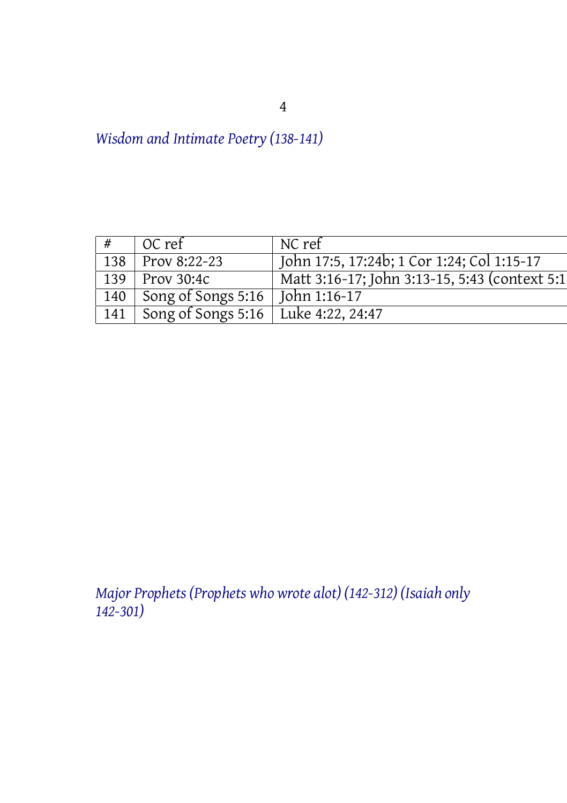*Wisdom and Intimate Poetry (138-141)*

| OC ref                                      |                                               |
|---------------------------------------------|-----------------------------------------------|
| 138 Prov 8:22-23                            | John 17:5, 17:24b; 1 Cor 1:24; Col 1:15-17    |
| $\sqrt{139}$ Prov 30:4c                     | Matt 3:16-17; John 3:13-15, 5:43 (context 5:1 |
| 140 Song of Songs 5:16 John 1:16-17         |                                               |
| 141   Song of Songs 5:16   Luke 4:22, 24:47 |                                               |

*Major Prophets (Prophets who wrote alot) (142-312) (Isaiah only 142-301)*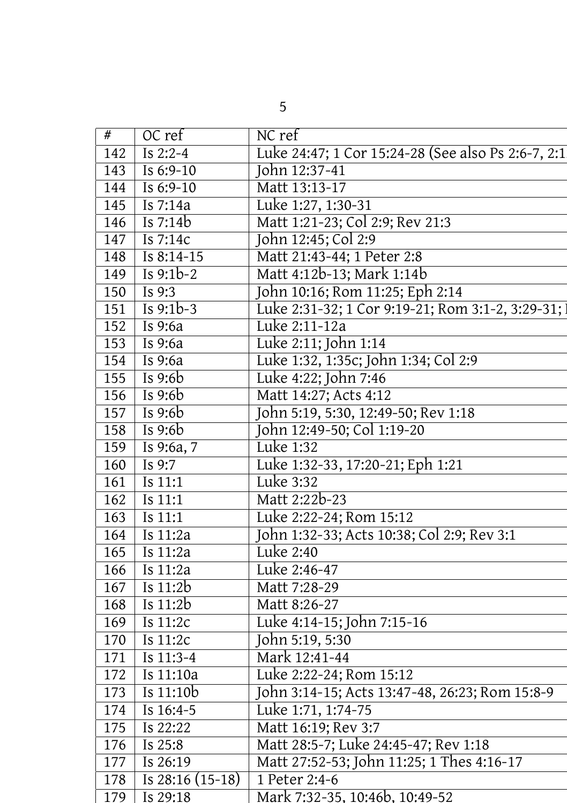| 8 OC ref MC ref 2447; 1 Cor 15:24-28 (See also Ps 2:6-7, 2:1<br>143 Is 6:9-10 Uohn 12:37-41<br>145 Is 6:9-10 Matt 13:13-17<br>145 Is 6:9-10 Matt 12:12:13 (Ol 223741)<br>145 Is 7:14a Matt 12:12:13:00-31<br>146 Is 7:14c Matt 12:12:1 |  |
|----------------------------------------------------------------------------------------------------------------------------------------------------------------------------------------------------------------------------------------|--|
|                                                                                                                                                                                                                                        |  |
|                                                                                                                                                                                                                                        |  |
|                                                                                                                                                                                                                                        |  |
|                                                                                                                                                                                                                                        |  |
|                                                                                                                                                                                                                                        |  |
|                                                                                                                                                                                                                                        |  |
|                                                                                                                                                                                                                                        |  |
|                                                                                                                                                                                                                                        |  |
|                                                                                                                                                                                                                                        |  |
| 179 Is 29:18 Mark 7:32-35, 10:46b, 10:49-52                                                                                                                                                                                            |  |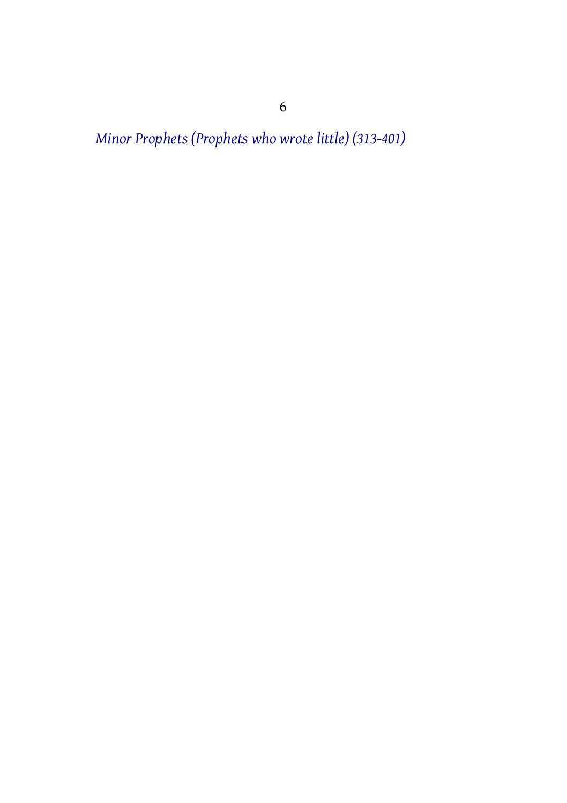*Minor Prophets (Prophets who wrote little) (313-401)*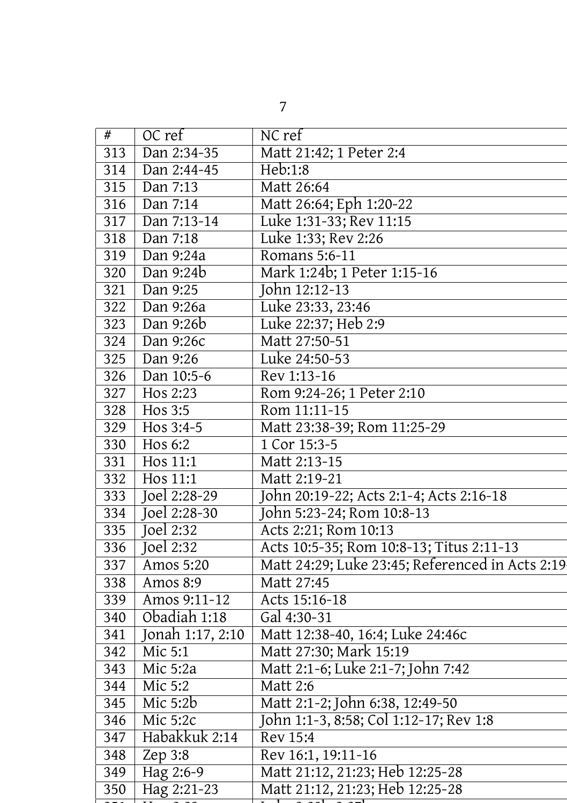| Dan 2:34-35 Matt 21:42; 1 Peter 2:4                                                                                                                                                                                       |  |
|---------------------------------------------------------------------------------------------------------------------------------------------------------------------------------------------------------------------------|--|
|                                                                                                                                                                                                                           |  |
|                                                                                                                                                                                                                           |  |
|                                                                                                                                                                                                                           |  |
|                                                                                                                                                                                                                           |  |
|                                                                                                                                                                                                                           |  |
| 1:33; Rev 2:26                                                                                                                                                                                                            |  |
|                                                                                                                                                                                                                           |  |
|                                                                                                                                                                                                                           |  |
|                                                                                                                                                                                                                           |  |
|                                                                                                                                                                                                                           |  |
| 318 Dan 9:24a<br>319 Dan 9:24a<br>320 Dan 9:24b<br>321 Dan 9:25<br>321 Dan 9:25<br>322 Dan 9:26a<br>423 Dan 9:26b<br>323 Dan 9:26b<br>423:33, 23:46<br>323 Dan 9:26b<br>423:33, 23:46<br>423 Dan 9:26b<br>422:37; Heb 2:9 |  |
|                                                                                                                                                                                                                           |  |
|                                                                                                                                                                                                                           |  |
|                                                                                                                                                                                                                           |  |
|                                                                                                                                                                                                                           |  |
|                                                                                                                                                                                                                           |  |
| 327 Hos 2:23 Rom 9:24-26; 1 Peter 2:10<br>328 Hos 3:5 Rom 11:11-15<br>329 Hos 3:4-5 Matt 23:38-39; Rom 11:25-29                                                                                                           |  |
|                                                                                                                                                                                                                           |  |
|                                                                                                                                                                                                                           |  |
| 1 Hos 11:1 Matt 2:13-15<br>2 Hos 11:1 Matt 2:13-15<br>3 Joel 2:28-29 John 20:19-22; Acts 2:1-4; Acts 2:16-18                                                                                                              |  |
|                                                                                                                                                                                                                           |  |
|                                                                                                                                                                                                                           |  |
|                                                                                                                                                                                                                           |  |
| Acts 10:5-35; Rom 10:8-13; Titus 2:11-13                                                                                                                                                                                  |  |
| Amos 5:20                 Matt 24:29; Luke 23:45; Referenced in Acts 2:19                                                                                                                                                 |  |
| 38   Amos 8:9   Matt 27:45                                                                                                                                                                                                |  |
| 9   Amos 9:11-12   Acts 15:16-18                                                                                                                                                                                          |  |
|                                                                                                                                                                                                                           |  |
|                                                                                                                                                                                                                           |  |
|                                                                                                                                                                                                                           |  |
| $\frac{342}{343}$ Mic 5:2a Matt 2:1-6; Luke 2:1-7; John 7:42                                                                                                                                                              |  |
|                                                                                                                                                                                                                           |  |
| 345 Mic 5:2b<br>346 Mic 5:2b<br>346 Mic 5:2c<br>347 Habakkuk 2:14 Rev 15:4                                                                                                                                                |  |
|                                                                                                                                                                                                                           |  |
|                                                                                                                                                                                                                           |  |
|                                                                                                                                                                                                                           |  |
|                                                                                                                                                                                                                           |  |
| 48 Zep 3:8 Rev 16:1, 19:11-16<br>49 Hag 2:6-9 Matt 21:12, 21:23; Heb 12:25-28                                                                                                                                             |  |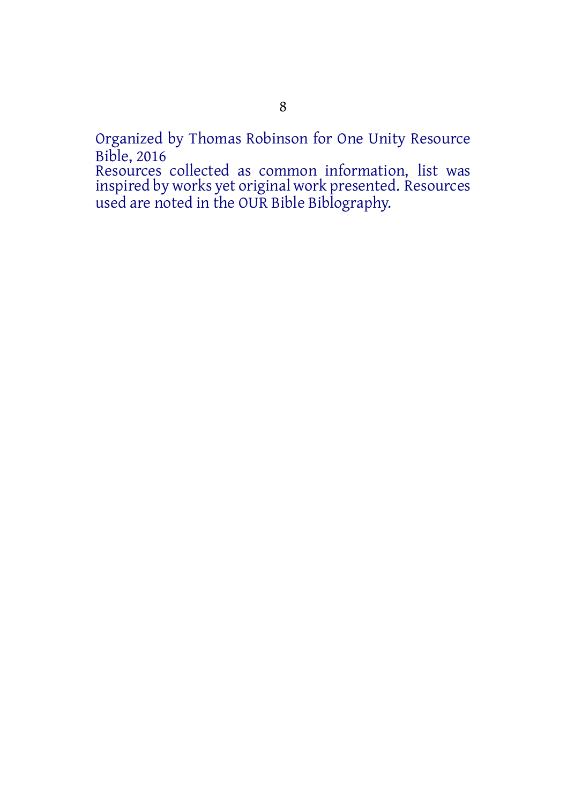Organized by Thomas Robinson for One Unity Resource Bible, 2016

Resources collected as common information, list was inspired by works yet original work presented. Resources used are noted in the OUR Bible Biblography.